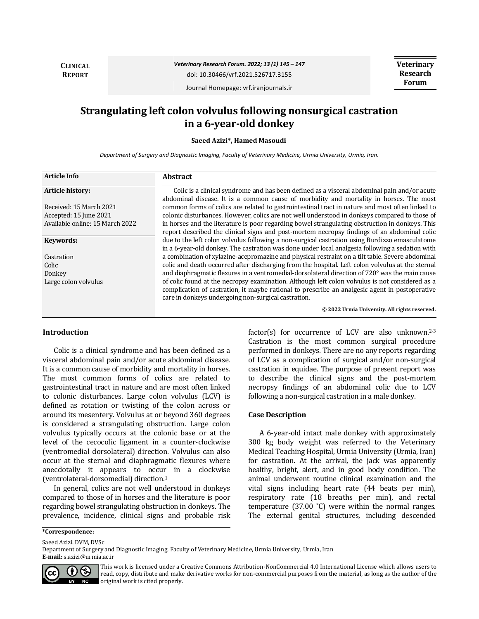**CLINICAL REPORT**

*Veterinary Research Forum. 2022; 13 (1) 145 – 147*

doi: 10.30466/vrf.2021.526717.3155

**Veterinary Research Forum**

Journal Homepage: vrf.iranjournals.ir

# **Strangulating left colon volvulus following nonsurgical castration in a 6-year-old donkey**

**Saeed Azizi\*, Hamed Masoudi**

*Department of Surgery and Diagnostic Imaging, Faculty of Veterinary Medicine, Urmia University, Urmia, Iran.*

| <b>Article Info</b>             | <b>Abstract</b>                                                                                                                                       |
|---------------------------------|-------------------------------------------------------------------------------------------------------------------------------------------------------|
| <b>Article history:</b>         | Colic is a clinical syndrome and has been defined as a visceral abdominal pain and/or acute                                                           |
|                                 | abdominal disease. It is a common cause of morbidity and mortality in horses. The most                                                                |
| Received: 15 March 2021         | common forms of colics are related to gastrointestinal tract in nature and most often linked to                                                       |
| Accepted: 15 June 2021          | colonic disturbances. However, colics are not well understood in donkeys compared to those of                                                         |
| Available online: 15 March 2022 | in horses and the literature is poor regarding bowel strangulating obstruction in donkeys. This                                                       |
|                                 | report described the clinical signs and post-mortem necropsy findings of an abdominal colic                                                           |
| Keywords:                       | due to the left colon volvulus following a non-surgical castration using Burdizzo emasculatome                                                        |
|                                 | in a 6-year-old donkey. The castration was done under local analgesia following a sedation with                                                       |
| Castration                      | a combination of xylazine-acepromazine and physical restraint on a tilt table. Severe abdominal                                                       |
| Colic                           | colic and death occurred after discharging from the hospital. Left colon volvulus at the sternal                                                      |
| Donkey                          | and diaphragmatic flexures in a ventromedial-dorsolateral direction of $720^{\circ}$ was the main cause                                               |
| Large colon volvulus            | of colic found at the necropsy examination. Although left colon volvulus is not considered as a                                                       |
|                                 | complication of castration, it maybe rational to prescribe an analgesic agent in postoperative<br>care in donkeys undergoing non-surgical castration. |
|                                 | © 2022 Urmia University. All rights reserved.                                                                                                         |

#### **Introduction**

Colic is a clinical syndrome and has been defined as a visceral abdominal pain and/or acute abdominal disease. It is a common cause of morbidity and mortality in horses. The most common forms of colics are related to gastrointestinal tract in nature and are most often linked to colonic disturbances. Large colon volvulus (LCV) is defined as rotation or twisting of the colon across or around its mesentery. Volvulus at or beyond 360 degrees is considered a strangulating obstruction. Large colon volvulus typically occurs at the colonic base or at the level of the cecocolic ligament in a counter-clockwise (ventromedial dorsolateral) direction. Volvulus can also occur at the sternal and diaphragmatic flexures where anecdotally it appears to occur in a clockwise (ventrolateral-dorsomedial) direction.<sup>1</sup>

In general, colics are not well understood in donkeys compared to those of in horses and the literature is poor regarding bowel strangulating obstruction in donkeys. The prevalence, incidence, clinical signs and probable risk factor(s) for occurrence of LCV are also unknown.<sup>2-3</sup> Castration is the most common surgical procedure performed in donkeys. There are no any reports regarding of LCV as a complication of surgical and/or non-surgical castration in equidae. The purpose of present report was to describe the clinical signs and the post-mortem necropsy findings of an abdominal colic due to LCV following a non-surgical castration in a male donkey.

# **Case Description**

A 6-year-old intact male donkey with approximately 300 kg body weight was referred to the Veterinary Medical Teaching Hospital, Urmia University (Urmia, Iran) for castration. At the arrival, the jack was apparently healthy, bright, alert, and in good body condition. The animal underwent routine clinical examination and the vital signs including heart rate (44 beats per min), respiratory rate (18 breaths per min), and rectal temperature (37.00 ˚C) were within the normal ranges. The external genital structures, including descended

Saeed Azizi. DVM, DVSc

Department of Surgery and Diagnostic Imaging, Faculty of Veterinary Medicine, Urmia University, Urmia, Iran **E-mail:** s.azizi@urmia.ac.ir



This work is licensed under a [Creative Commons Attribution-NonCommercial 4.0 International License](http://creativecommons.org/licenses/by-nc/4.0/) which allows users to read, copy, distribute and make derivative works for non-commercial purposes from the material, as long as the author of the original work is cited properly.

**<sup>\*</sup>Correspondence:**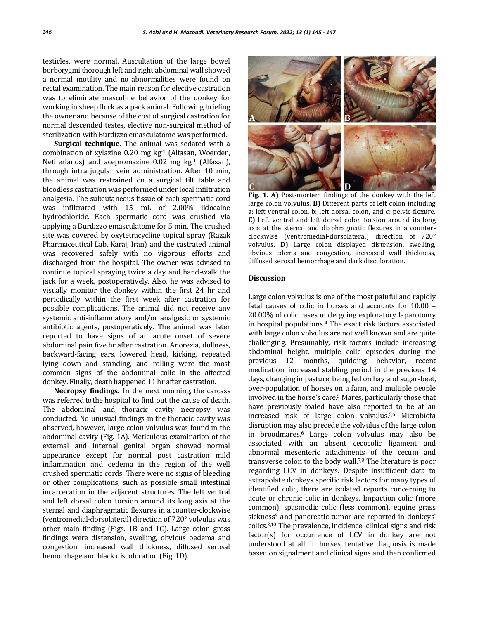testicles, were normal. Auscultation of the large bowel borborygmi thorough left and right abdominal wall showed a normal motility and no abnormalities were found on rectal examination. The main reason for elective castration was to eliminate masculine behavior of the donkey for working in sheep flock as a pack animal. Following briefing the owner and because of the cost of surgical castration for normal descended testes, elective non-surgical method of sterilization with Burdizzo emasculatome was performed.

**Surgical technique.** The animal was sedated with a combination of xylazine  $0.20$  mg kg $^{-1}$  (Alfasan, Woerden, Netherlands) and acepromazine 0.02 mg kg-1 (Alfasan), through intra jugular vein administration. After 10 min, the animal was restrained on a surgical tilt table and bloodless castration was performed under local infiltration analgesia. The subcutaneous tissue of each spermatic cord was infiltrated with 15 mL of 2.00% lidocaine hydrochloride. Each spermatic cord was crushed via applying a Burdizzo emasculatome for 5 min. The crushed site was covered by oxytetracycline topical spray (Razak Pharmaceutical Lab, Karaj, Iran) and the castrated animal was recovered safely with no vigorous efforts and discharged from the hospital. The owner was advised to continue topical spraying twice a day and hand-walk the jack for a week, postoperatively. Also, he was advised to visually monitor the donkey within the first 24 hr and periodically within the first week after castration for possible complications. The animal did not receive any systemic anti-inflammatory and/or analgesic or systemic antibiotic agents, postoperatively. The animal was later reported to have signs of an acute onset of severe abdominal pain five hr after castration. Anorexia, dullness, backward‐facing ears, lowered head, kicking, repeated lying down and standing, and rolling were the most common signs of the abdominal colic in the affected donkey. Finally, death happened 11 hr after castration.

**Necropsy findings.** In the next morning, the carcass was referred to the hospital to find out the cause of death. The abdominal and thoracic cavity necropsy was conducted. No unusual findings in the thoracic cavity was observed, however, large colon volvulus was found in the abdominal cavity (Fig. 1A). Meticulous examination of the external and internal genital organ showed normal appearance except for normal post castration mild inflammation and oedema in the region of the well crushed spermatic cords. There were no signs of bleeding or other complications, such as possible small intestinal incarceration in the adjacent structures. The left ventral and left dorsal colon torsion around its long axis at the sternal and diaphragmatic flexures in a counter-clockwise (ventromedial-dorsolateral) direction of 720° volvulus was other main finding (Figs. 1B and 1C). Large colon gross findings were distension, swelling, obvious oedema and congestion, increased wall thickness, diffused serosal hemorrhage and black discoloration (Fig. 1D).



**Fig. 1. A)** Post-mortem findings of the donkey with the left large colon volvulus. **B)** Different parts of left colon including a: left ventral colon, b: left dorsal colon, and c: pelvic flexure. **C)** Left ventral and left dorsal colon torsion around its long axis at the sternal and diaphragmatic flexures in a counterclockwise (ventromedial-dorsolateral) direction of 720° volvulus. **D)** Large colon displayed distension, swelling, obvious edema and congestion, increased wall thickness, diffused serosal hemorrhage and dark discoloration.

# **Discussion**

Large colon volvulus is one of the most painful and rapidly fatal causes of colic in horses and accounts for 10.00 – 20.00% of colic cases undergoing exploratory laparotomy in hospital populations.<sup>4</sup> The exact risk factors associated with large colon volvulus are not well known and are quite challenging. Presumably, risk factors include increasing abdominal height, multiple colic episodes during the previous 12 months, quidding behavior, recent medication, increased stabling period in the previous 14 days, changing in pasture, being fed on hay and sugar-beet, over-population of horses on a farm, and multiple people involved in the horse's care.<sup>5</sup> Mares, particularly those that have previously foaled have also reported to be at an increased risk of large colon volvulus.5,6 Microbiota disruption may also precede the volvulus of the large colon in broodmares.<sup>6</sup> Large colon volvulus may also be associated with an absent cecocolic ligament and abnormal mesenteric attachments of the cecum and transverse colon to the body wall.7,8 The literature is poor regarding LCV in donkeys. Despite insufficient data to extrapolate donkeys specific risk factors for many types of identified colic, there are isolated reports concerning to acute or chronic colic in donkeys. Impaction colic (more common), spasmodic colic (less common), equine grass sickness<sup>9</sup> and pancreatic tumor are reported in donkeys' colics.2,10 The prevalence, incidence, clinical signs and risk factor(s) for occurrence of LCV in donkey are not understood at all. In horses, tentative diagnosis is made based on signalment and clinical signs and then confirmed